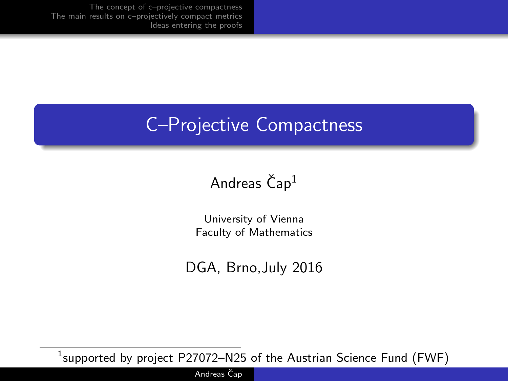# C–Projective Compactness

### Andreas  $\text{Čap}^1$

University of Vienna Faculty of Mathematics

DGA, Brno,July 2016

 $^1$ supported by project <code>P27072–N25</code> of the Austrian Science Fund (FWF)

Andreas Čap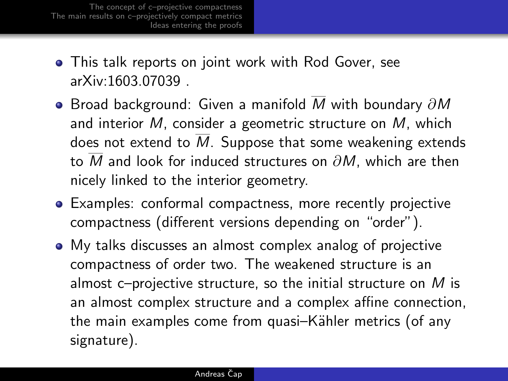- This talk reports on joint work with Rod Gover, see arXiv:1603.07039 .
- $\bullet$  Broad background: Given a manifold M with boundary  $\partial M$ and interior M, consider a geometric structure on M, which does not extend to  $\overline{M}$ . Suppose that some weakening extends to  $\overline{M}$  and look for induced structures on  $\partial M$ , which are then nicely linked to the interior geometry.
- Examples: conformal compactness, more recently projective compactness (different versions depending on "order").
- My talks discusses an almost complex analog of projective compactness of order two. The weakened structure is an almost c–projective structure, so the initial structure on  $M$  is an almost complex structure and a complex affine connection, the main examples come from quasi–Kähler metrics (of any signature).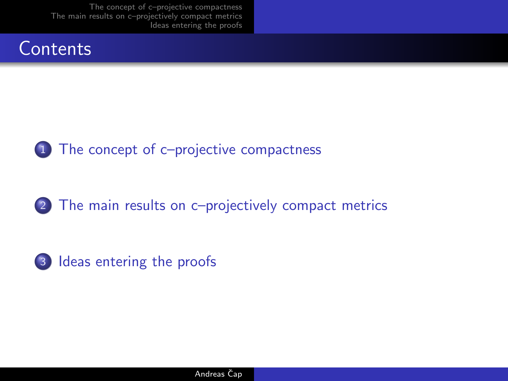



2 [The main results on c–projectively compact metrics](#page-8-0)

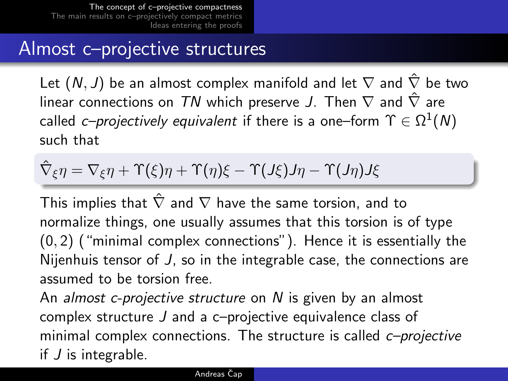### Almost c–projective structures

Let  $(N, J)$  be an almost complex manifold and let  $\nabla$  and  $\hat{\nabla}$  be two linear connections on TN which preserve J. Then  $\nabla$  and  $\hat{\nabla}$  are called *c–projectively equivalent* if there is a one–form  $\Upsilon \in \Omega^1(N)$ such that

$$
\hat{\nabla}_{\xi}\eta=\nabla_{\xi}\eta+\Upsilon(\xi)\eta+\Upsilon(\eta)\xi-\Upsilon(J\xi)J\eta-\Upsilon(J\eta)J\xi
$$

This implies that  $\hat{\nabla}$  and  $\nabla$  have the same torsion, and to normalize things, one usually assumes that this torsion is of type (0, 2) ("minimal complex connections"). Hence it is essentially the Nijenhuis tensor of J, so in the integrable case, the connections are assumed to be torsion free.

<span id="page-3-0"></span>An *almost c-projective structure* on N is given by an almost complex structure J and a c–projective equivalence class of minimal complex connections. The structure is called *c-projective* if J is integrable.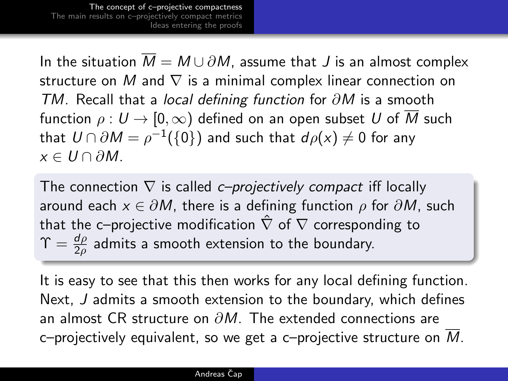In the situation  $\overline{M} = M \cup \partial M$ , assume that J is an almost complex structure on M and  $\nabla$  is a minimal complex linear connection on TM. Recall that a local defining function for  $\partial M$  is a smooth function  $\rho: U \to [0,\infty)$  defined on an open subset U of  $\overline{M}$  such that  $\mathcal{U}\cap \partial M=\rho^{-1}(\{0\})$  and such that  $d\rho(x)\neq 0$  for any  $x \in U \cap \partial M$ .

The connection  $\nabla$  is called c–projectively compact iff locally around each  $x \in \partial M$ , there is a defining function  $\rho$  for  $\partial M$ , such that the c–projective modification  $\hat{\nabla}$  of  $\nabla$  corresponding to  $\Upsilon = \frac{d\rho}{2\rho}$  admits a smooth extension to the boundary.

It is easy to see that this then works for any local defining function. Next, J admits a smooth extension to the boundary, which defines an almost CR structure on  $\partial M$ . The extended connections are c–projectively equivalent, so we get a c–projective structure on  $M$ .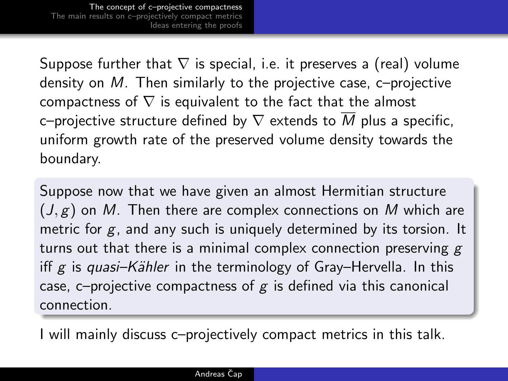Suppose further that  $\nabla$  is special, i.e. it preserves a (real) volume density on M. Then similarly to the projective case, c–projective compactness of  $\nabla$  is equivalent to the fact that the almost c–projective structure defined by  $\nabla$  extends to  $\overline{M}$  plus a specific, uniform growth rate of the preserved volume density towards the boundary.

Suppose now that we have given an almost Hermitian structure  $(J, g)$  on M. Then there are complex connections on M which are metric for  $g$ , and any such is uniquely determined by its torsion. It turns out that there is a minimal complex connection preserving  $g$ iff g is quasi–Kähler in the terminology of Gray–Hervella. In this case, c–projective compactness of  $g$  is defined via this canonical connection.

I will mainly discuss c–projectively compact metrics in this talk.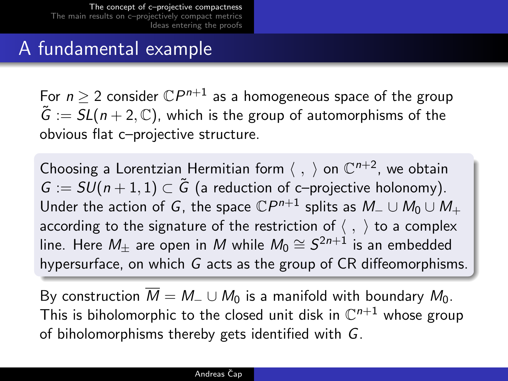## A fundamental example

For  $n\geq 2$  consider  $\mathbb{C}P^{n+1}$  as a homogeneous space of the group  $\tilde{G} := SL(n+2, \mathbb{C})$ , which is the group of automorphisms of the obvious flat c–projective structure.

Choosing a Lorentzian Hermitian form  $\langle , \rangle$  on  $\mathbb{C}^{n+2}$ , we obtain  $G := SU(n+1,1) \subset \tilde{G}$  (a reduction of c–projective holonomy). Under the action of  $G$ , the space  ${\mathbb C} P^{n+1}$  splits as  $M_- \cup M_0 \cup M_+$ according to the signature of the restriction of  $\langle , \rangle$  to a complex line. Here  $M_\pm$  are open in  $M$  while  $M_0\cong \mathcal{S}^{2n+1}$  is an embedded hypersurface, on which G acts as the group of CR diffeomorphisms.

By construction  $\overline{M} = M_-\cup M_0$  is a manifold with boundary  $M_0$ . This is biholomorphic to the closed unit disk in  $\mathbb{C}^{n+1}$  whose group of biholomorphisms thereby gets identified with G.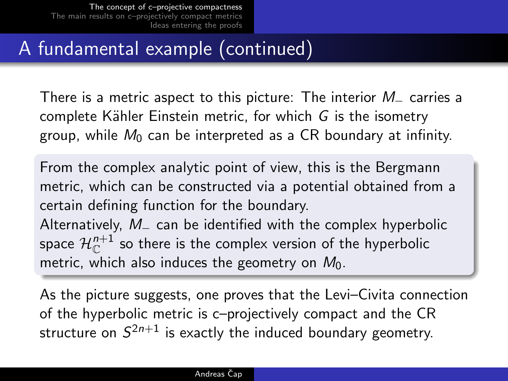# A fundamental example (continued)

There is a metric aspect to this picture: The interior  $M_$  carries a complete Kähler Einstein metric, for which  $G$  is the isometry group, while  $M_0$  can be interpreted as a CR boundary at infinity.

From the complex analytic point of view, this is the Bergmann metric, which can be constructed via a potential obtained from a certain defining function for the boundary. Alternatively,  $M_$  can be identified with the complex hyperbolic space  $\mathcal{H}^{n+1}_\mathbb{C}$  so there is the complex version of the hyperbolic metric, which also induces the geometry on  $M_0$ .

As the picture suggests, one proves that the Levi–Civita connection of the hyperbolic metric is c–projectively compact and the CR structure on  $\mathcal{S}^{2n+1}$  is exactly the induced boundary geometry.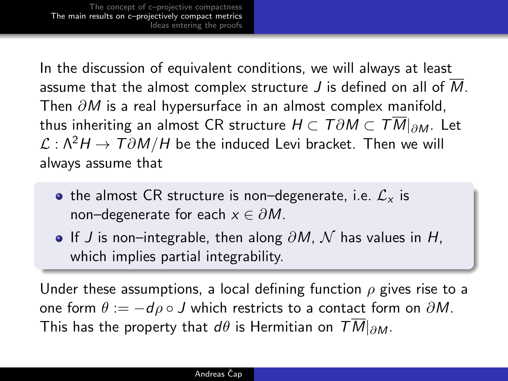In the discussion of equivalent conditions, we will always at least assume that the almost complex structure  $J$  is defined on all of  $M$ . Then  $\partial M$  is a real hypersurface in an almost complex manifold, thus inheriting an almost CR structure  $H \subset T\partial M \subset TM|_{\partial M}$ . Let  $\mathcal{L}: \Lambda^2 H \to T \partial M/H$  be the induced Levi bracket. Then we will always assume that

- the almost CR structure is non–degenerate, i.e.  $\mathcal{L}_{x}$  is non–degenerate for each  $x \in \partial M$ .
- <span id="page-8-0"></span>• If J is non–integrable, then along  $\partial M$ ,  $\mathcal N$  has values in H, which implies partial integrability.

Under these assumptions, a local defining function  $\rho$  gives rise to a one form  $\theta := -d\rho \circ J$  which restricts to a contact form on  $\partial M$ . This has the property that d $\theta$  is Hermitian on  $TM|_{\partial M}$ .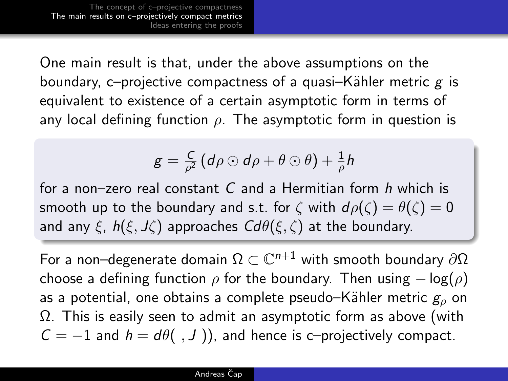One main result is that, under the above assumptions on the boundary, c–projective compactness of a quasi–Kähler metric  $g$  is equivalent to existence of a certain asymptotic form in terms of any local defining function  $\rho$ . The asymptotic form in question is

$$
g = \frac{C}{\rho^2} \left( d\rho \odot d\rho + \theta \odot \theta \right) + \frac{1}{\rho} h
$$

for a non–zero real constant C and a Hermitian form h which is smooth up to the boundary and s.t. for  $\zeta$  with  $d\rho(\zeta) = \theta(\zeta) = 0$ and any  $\xi$ ,  $h(\xi, J\zeta)$  approaches  $Cd\theta(\xi, \zeta)$  at the boundary.

For a non–degenerate domain  $\Omega\subset\mathbb{C}^{n+1}$  with smooth boundary  $\partial\Omega$ choose a defining function  $\rho$  for the boundary. Then using  $-\log(\rho)$ as a potential, one obtains a complete pseudo–Kähler metric  $g<sub>o</sub>$  on Ω. This is easily seen to admit an asymptotic form as above (with  $C = -1$  and  $h = d\theta($ , J )), and hence is c-projectively compact.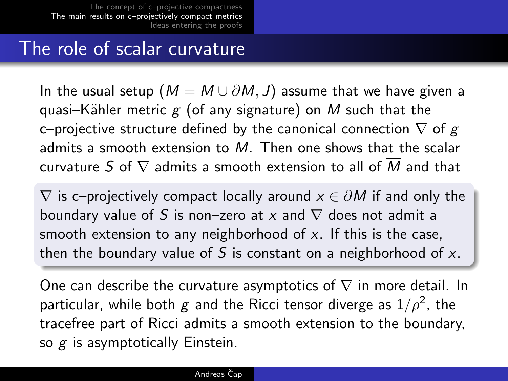### The role of scalar curvature

In the usual setup ( $\overline{M} = M \cup \partial M$ , J) assume that we have given a quasi–Kähler metric  $g$  (of any signature) on M such that the c–projective structure defined by the canonical connection  $\nabla$  of g admits a smooth extension to  $\overline{M}$ . Then one shows that the scalar curvature S of  $\nabla$  admits a smooth extension to all of  $\overline{M}$  and that

 $\nabla$  is c–projectively compact locally around  $x \in \partial M$  if and only the boundary value of S is non–zero at x and  $\nabla$  does not admit a smooth extension to any neighborhood of  $x$ . If this is the case, then the boundary value of S is constant on a neighborhood of  $x$ .

One can describe the curvature asymptotics of  $\nabla$  in more detail. In particular, while both  $g$  and the Ricci tensor diverge as  $1/\rho^2$ , the tracefree part of Ricci admits a smooth extension to the boundary, so  $g$  is asymptotically Einstein.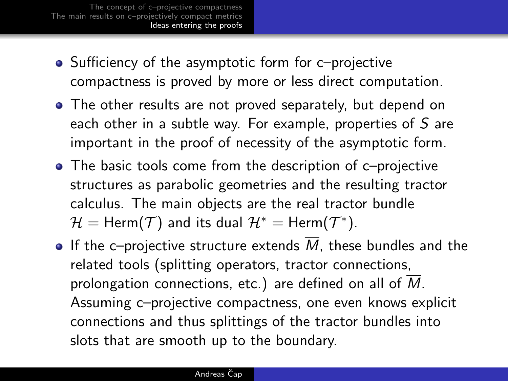- Sufficiency of the asymptotic form for c–projective compactness is proved by more or less direct computation.
- The other results are not proved separately, but depend on each other in a subtle way. For example, properties of  $S$  are important in the proof of necessity of the asymptotic form.
- The basic tools come from the description of c–projective structures as parabolic geometries and the resulting tractor calculus. The main objects are the real tractor bundle  $\mathcal{H} = \mathsf{Herm}(\mathcal{T})$  and its dual  $\mathcal{H}^* = \mathsf{Herm}(\mathcal{T}^*).$
- <span id="page-11-0"></span> $\bullet$  If the c-projective structure extends M, these bundles and the related tools (splitting operators, tractor connections, prolongation connections, etc.) are defined on all of  $M$ . Assuming c–projective compactness, one even knows explicit connections and thus splittings of the tractor bundles into slots that are smooth up to the boundary.